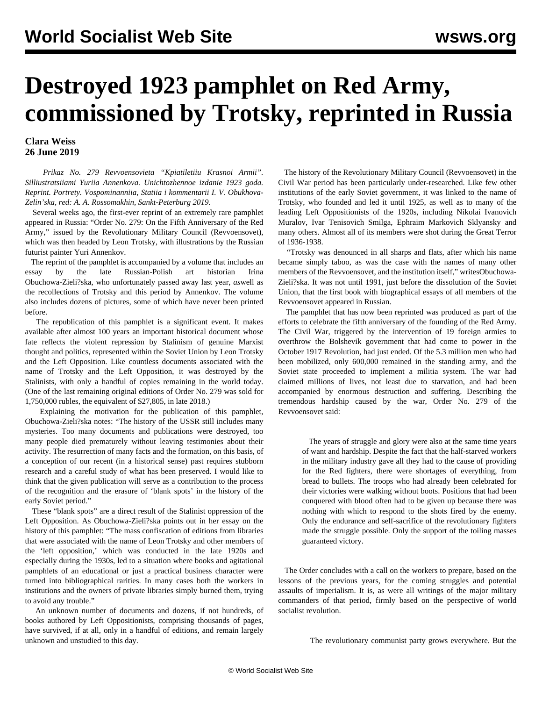## **Destroyed 1923 pamphlet on Red Army, commissioned by Trotsky, reprinted in Russia**

## **Clara Weiss 26 June 2019**

 *Prikaz No. 279 Revvoensovieta "Kpiatiletiiu Krasnoi Armii". Silliustratsiiami Yuriia Annenkova. Unichtozhennoe izdanie 1923 goda. Reprint. Portrety. Vospominanniia, Statiia i kommentarii I. V. Obukhova-Zelin'ska, red: A. A. Rossomakhin, Sankt-Peterburg 2019.*

 Several weeks ago, the first-ever reprint of an extremely rare pamphlet appeared in Russia: "Order No. 279: On the Fifth Anniversary of the Red Army," issued by the Revolutionary Military Council (Revvoensovet), which was then headed by Leon Trotsky, with illustrations by the Russian futurist painter Yuri Annenkov.

 The reprint of the pamphlet is accompanied by a volume that includes an essay by the late Russian-Polish art historian Irina Obuchowa-Zieli?ska*,* who unfortunately passed away last year, *as*well as the recollections of Trotsky and this period by Annenkov. The volume also includes dozens of pictures, some of which have never been printed before.

 The republication of this pamphlet is a significant event. It makes available after almost 100 years an important historical document whose fate reflects the violent repression by Stalinism of genuine Marxist thought and politics, represented within the Soviet Union by Leon Trotsky and the Left Opposition. Like countless documents associated with the name of Trotsky and the Left Opposition, it was destroyed by the Stalinists, with only a handful of copies remaining in the world today. (One of the last remaining original editions of Order No. 279 was sold for 1,750,000 rubles, the equivalent of \$27,805, in late 2018.)

 Explaining the motivation for the publication of this pamphlet, Obuchowa-Zieli?ska notes: "The history of the USSR still includes many mysteries. Too many documents and publications were destroyed, too many people died prematurely without leaving testimonies about their activity. The resurrection of many facts and the formation, on this basis, of a conception of our recent (in a historical sense) past requires stubborn research and a careful study of what has been preserved. I would like to think that the given publication will serve as a contribution to the process of the recognition and the erasure of 'blank spots' in the history of the early Soviet period."

 These "blank spots" are a direct result of the Stalinist oppression of the Left Opposition. As Obuchowa-Zieli?ska points out in her essay on the history of this pamphlet: "The mass confiscation of editions from libraries that were associated with the name of Leon Trotsky and other members of the 'left opposition,' which was conducted in the late 1920s and especially during the 1930s, led to a situation where books and agitational pamphlets of an educational or just a practical business character were turned into bibliographical rarities. In many cases both the workers in institutions and the owners of private libraries simply burned them, trying to avoid any trouble."

 An unknown number of documents and dozens, if not hundreds, of books authored by Left Oppositionists, comprising thousands of pages, have survived, if at all, only in a handful of editions, and remain largely unknown and unstudied to this day.

 The history of the Revolutionary Military Council (Revvoensovet) in the Civil War period has been particularly under-researched. Like few other institutions of the early Soviet government, it was linked to the name of Trotsky, who founded and led it until 1925, as well as to many of the leading Left Oppositionists of the 1920s, including [Nikolai Ivanovich](/en/articles/2017/11/21/mura-n21.html) [Muralov](/en/articles/2017/11/21/mura-n21.html), [Ivar Tenisovich Smilga,](/en/articles/2017/08/31/smi1-a31.html) Ephraim Markovich Sklyansky and many others. Almost all of its members were shot during the Great Terror of 1936-1938.

 "Trotsky was denounced in all sharps and flats, after which his name became simply taboo, as was the case with the names of many other members of the Revvoensovet, and the institution itself," writesObuchowa-Zieli?ska. It was not until 1991, just before the dissolution of the Soviet Union, that the first book with biographical essays of all members of the Revvoensovet appeared in Russian.

 The pamphlet that has now been reprinted was produced as part of the efforts to celebrate the fifth anniversary of the founding of the Red Army. The Civil War, triggered by the intervention of 19 foreign armies to overthrow the Bolshevik government that had come to power in the October 1917 Revolution, had just ended. Of the 5.3 million men who had been mobilized, only 600,000 remained in the standing army, and the Soviet state proceeded to implement a militia system. The war had claimed millions of lives, not least due to starvation, and had been accompanied by enormous destruction and suffering. Describing the tremendous hardship caused by the war, Order No. 279 of the Revvoensovet said:

 The years of struggle and glory were also at the same time years of want and hardship. Despite the fact that the half-starved workers in the military industry gave all they had to the cause of providing for the Red fighters, there were shortages of everything, from bread to bullets. The troops who had already been celebrated for their victories were walking without boots. Positions that had been conquered with blood often had to be given up because there was nothing with which to respond to the shots fired by the enemy. Only the endurance and self-sacrifice of the revolutionary fighters made the struggle possible. Only the support of the toiling masses guaranteed victory.

 The Order concludes with a call on the workers to prepare, based on the lessons of the previous years, for the coming struggles and potential assaults of imperialism. It is, as were all writings of the major military commanders of that period, firmly based on the perspective of world socialist revolution.

The revolutionary communist party grows everywhere. But the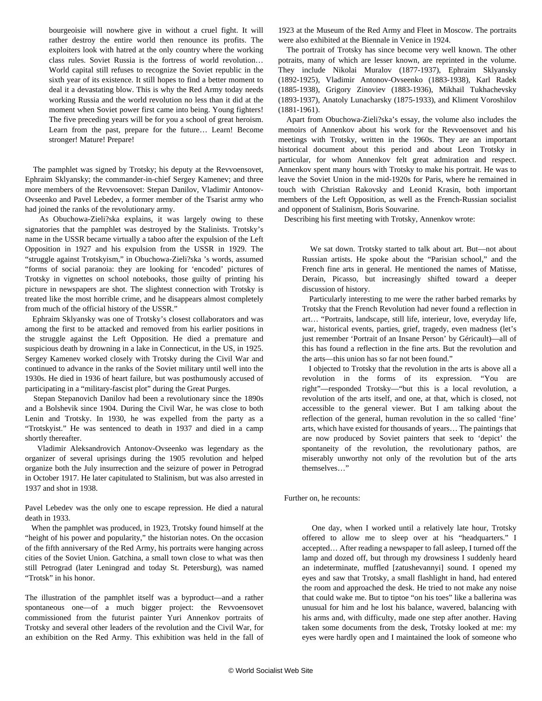bourgeoisie will nowhere give in without a cruel fight. It will rather destroy the entire world then renounce its profits. The exploiters look with hatred at the only country where the working class rules. Soviet Russia is the fortress of world revolution… World capital still refuses to recognize the Soviet republic in the sixth year of its existence. It still hopes to find a better moment to deal it a devastating blow. This is why the Red Army today needs working Russia and the world revolution no less than it did at the moment when Soviet power first came into being. Young fighters! The five preceding years will be for you a school of great heroism. Learn from the past, prepare for the future… Learn! Become stronger! Mature! Prepare!

 The pamphlet was signed by Trotsky; his deputy at the Revvoensovet, Ephraim Sklyansky; the commander-in-chief Sergey Kamenev; and three more members of the Revvoensovet: Stepan Danilov, Vladimir Antonov-Ovseenko and Pavel Lebedev, a former member of the Tsarist army who had joined the ranks of the revolutionary army.

 As Obuchowa-Zieli?ska explains, it was largely owing to these signatories that the pamphlet was destroyed by the Stalinists. Trotsky's name in the USSR became virtually a taboo after the expulsion of the Left Opposition in 1927 and his expulsion from the USSR in 1929. The "struggle against Trotskyism," in Obuchowa-Zieli?ska 's words, assumed "forms of social paranoia: they are looking for 'encoded' pictures of Trotsky in vignettes on school notebooks, those guilty of printing his picture in newspapers are shot. The slightest connection with Trotsky is treated like the most horrible crime, and he disappears almost completely from much of the official history of the USSR."

 Ephraim Sklyansky was one of Trotsky's [closest collaborators](https://www.marxists.org/archive/trotsky/1930/mylife/ch41.htm) and was among the first to be attacked and removed from his earlier positions in the struggle against the Left Opposition. He died a premature and suspicious death by drowning in a lake in Connecticut, in the US, in 1925. Sergey Kamenev worked closely with Trotsky during the Civil War and continued to advance in the ranks of the Soviet military until well into the 1930s. He died in 1936 of heart failure, but was posthumously accused of participating in a "military-fascist plot" during the Great Purges.

 Stepan Stepanovich Danilov had been a revolutionary since the 1890s and a Bolshevik since 1904. During the Civil War, he was close to both Lenin and Trotsky. In 1930, he was expelled from the party as a "Trotskyist." He was sentenced to death in 1937 and died in a camp shortly thereafter.

 Vladimir Aleksandrovich Antonov-Ovseenko was legendary as the organizer of several uprisings during the 1905 revolution and helped organize both the July insurrection and the seizure of power in Petrograd in October 1917. He later capitulated to Stalinism, but was also arrested in 1937 and shot in 1938.

Pavel Lebedev was the only one to escape repression. He died a natural death in 1933.

 When the pamphlet was produced, in 1923, Trotsky found himself at the "height of his power and popularity," the historian notes. On the occasion of the fifth anniversary of the Red Army, his portraits were hanging across cities of the Soviet Union. Gatchina, a small town close to what was then still Petrograd (later Leningrad and today St. Petersburg), was named "Trotsk" in his honor.

The illustration of the pamphlet itself was a byproduct—and a rather spontaneous one—of a much bigger project: the Revvoensovet commissioned from the futurist painter Yuri Annenkov portraits of Trotsky and several other leaders of the revolution and the Civil War, for an exhibition on the Red Army. This exhibition was held in the fall of 1923 at the Museum of the Red Army and Fleet in Moscow. The portraits were also exhibited at the Biennale in Venice in 1924.

 The portrait of Trotsky has since become very well known. The other potraits, many of which are lesser known, are reprinted in the volume. They include Nikolai Muralov (1877-1937), Ephraim Sklyansky (1892-1925), Vladimir Antonov-Ovseenko (1883-1938), Karl Radek (1885-1938), Grigory Zinoviev (1883-1936), Mikhail Tukhachevsky (1893-1937), Anatoly Lunacharsky (1875-1933), and Kliment Voroshilov (1881-1961).

 Apart from Obuchowa-Zieli?ska's essay, the volume also includes the memoirs of Annenkov about his work for the Revvoensovet and his meetings with Trotsky, written in the 1960s. They are an important historical document about this period and about Leon Trotsky in particular, for whom Annenkov felt great admiration and respect. Annenkov spent many hours with Trotsky to make his portrait. He was to leave the Soviet Union in the mid-1920s for Paris, where he remained in touch with Christian Rakovsky and Leonid Krasin, both important members of the Left Opposition, as well as the French-Russian socialist and opponent of Stalinism, Boris Souvarine.

Describing his first meeting with Trotsky, Annenkov wrote:

 We sat down. Trotsky started to talk about art. But—not about Russian artists. He spoke about the "Parisian school," and the French fine arts in general. He mentioned the names of Matisse, Derain, Picasso, but increasingly shifted toward a deeper discussion of history.

 Particularly interesting to me were the rather barbed remarks by Trotsky that the French Revolution had never found a reflection in art… "Portraits, landscape, still life, interieur, love, everyday life, war, historical events, parties, grief, tragedy, even madness (let's just remember 'Portrait of an Insane Person' by Géricault)—all of this has found a reflection in the fine arts. But the revolution and the arts—this union has so far not been found."

 I objected to Trotsky that the revolution in the arts is above all a revolution in the forms of its expression. "You are right"—responded Trotsky—"but this is a local revolution, a revolution of the arts itself, and one, at that, which is closed, not accessible to the general viewer. But I am talking about the reflection of the general, human revolution in the so called 'fine' arts, which have existed for thousands of years… The paintings that are now produced by Soviet painters that seek to 'depict' the spontaneity of the revolution, the revolutionary pathos, are miserably unworthy not only of the revolution but of the arts themselves…"

Further on, he recounts:

 One day, when I worked until a relatively late hour, Trotsky offered to allow me to sleep over at his "headquarters." I accepted… After reading a newspaper to fall asleep, I turned off the lamp and dozed off, but through my drowsiness I suddenly heard an indeterminate, muffled [zatushevannyi] sound. I opened my eyes and saw that Trotsky, a small flashlight in hand, had entered the room and approached the desk. He tried to not make any noise that could wake me. But to tiptoe "on his toes" like a ballerina was unusual for him and he lost his balance, wavered, balancing with his arms and, with difficulty, made one step after another. Having taken some documents from the desk, Trotsky looked at me: my eyes were hardly open and I maintained the look of someone who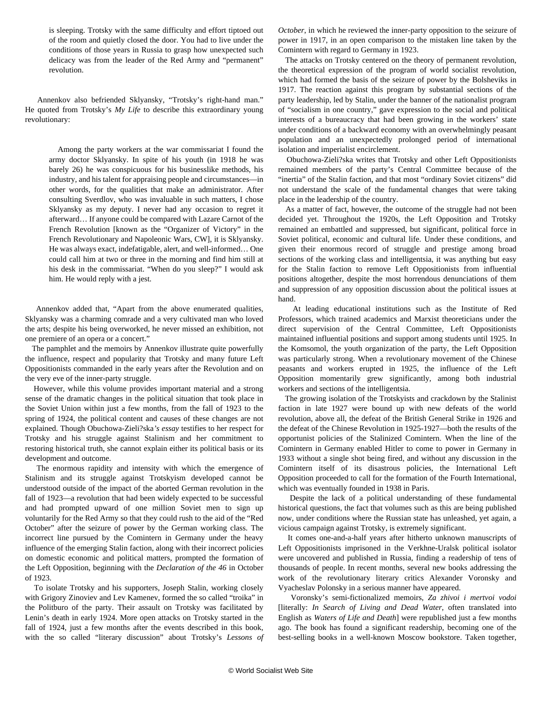is sleeping. Trotsky with the same difficulty and effort tiptoed out of the room and quietly closed the door. You had to live under the conditions of those years in Russia to grasp how unexpected such delicacy was from the leader of the Red Army and "permanent" revolution.

 Annenkov also befriended Sklyansky, "Trotsky's right-hand man." He [quoted](https://www.marxists.org/archive/trotsky/1930/mylife/ch30.htm) from Trotsky's *My Life* to describe this extraordinary young revolutionary:

> Among the party workers at the war commissariat I found the army doctor Sklyansky. In spite of his youth (in 1918 he was barely 26) he was conspicuous for his businesslike methods, his industry, and his talent for appraising people and circumstances—in other words, for the qualities that make an administrator. After consulting Sverdlov, who was invaluable in such matters, I chose Sklyansky as my deputy. I never had any occasion to regret it afterward… If anyone could be compared with Lazare Carnot of the French Revolution [known as the "Organizer of Victory" in the French Revolutionary and Napoleonic Wars, CW], it is Sklyansky. He was always exact, indefatigable, alert, and well-informed… One could call him at two or three in the morning and find him still at his desk in the commissariat. "When do you sleep?" I would ask him. He would reply with a jest.

 Annenkov added that, "Apart from the above enumerated qualities, Sklyansky was a charming comrade and a very cultivated man who loved the arts; despite his being overworked, he never missed an exhibition, not one premiere of an opera or a concert."

 The pamphlet and the memoirs by Annenkov illustrate quite powerfully the influence, respect and popularity that Trotsky and many future Left Oppositionists commanded in the early years after the Revolution and on the very eve of the inner-party struggle.

 However, while this volume provides important material and a strong sense of the dramatic changes in the political situation that took place in the Soviet Union within just a few months, from the fall of 1923 to the spring of 1924, the political content and causes of these changes are not explained. Though Obuchowa-Zieli?ska*'s essay* testifies to her respect for Trotsky and his struggle against Stalinism and her commitment to restoring historical truth, she cannot explain either its political basis or its development and outcome.

 The enormous rapidity and intensity with which the emergence of Stalinism and its struggle against Trotskyism developed cannot be understood outside of the impact of the [aborted German revolution in the](/en/articles/2008/10/1923-o30.html) [fall of 1923](/en/articles/2008/10/1923-o30.html)—a revolution that had been widely expected to be successful and had prompted upward of one million Soviet men to sign up voluntarily for the Red Army so that they could rush to the aid of the "Red October" after the seizure of power by the German working class. The incorrect line pursued by the Comintern in Germany under the heavy influence of the emerging Stalin faction, along with their incorrect policies on domestic economic and political matters, prompted the formation of the Left Opposition, beginning with the *Declaration of the 46* in October of 1923.

 To isolate Trotsky and his supporters, Joseph Stalin, working closely with Grigory Zinoviev and Lev Kamenev, formed the so called "troika" in the Politburo of the party. Their assault on Trotsky was facilitated by Lenin's death in early 1924. More open attacks on Trotsky started in the fall of 1924, just a few months after the events described in this book, with the so called "literary discussion" about Trotsky's *Lessons of* *October*, in which he reviewed the inner-party opposition to the seizure of power in 1917, in an open comparison to the mistaken line taken by the Comintern with regard to Germany in 1923.

 The attacks on Trotsky centered on the theory of permanent revolution, the theoretical expression of the program of world socialist revolution, which had formed the basis of the seizure of power by the Bolsheviks in 1917. The reaction against this program by substantial sections of the party leadership, led by Stalin, under the banner of the nationalist program of "socialism in one country," gave expression to the social and political interests of a bureaucracy that had been growing in the workers' state under conditions of a backward economy with an overwhelmingly peasant population and an unexpectedly prolonged period of international isolation and imperialist encirclement.

 Obuchowa-Zieli?ska writes that Trotsky and other Left Oppositionists remained members of the party's Central Committee because of the "inertia" of the Stalin faction, and that most "ordinary Soviet citizens" did not understand the scale of the fundamental changes that were taking place in the leadership of the country.

 As a matter of fact, however, the outcome of the struggle had not been decided yet. Throughout the 1920s, the Left Opposition and Trotsky remained an embattled and suppressed, but significant, political force in Soviet political, economic and cultural life. Under these conditions, and given their enormous record of struggle and prestige among broad sections of the working class and intelligentsia, it was anything but easy for the Stalin faction to remove Left Oppositionists from influential positions altogether, despite the most horrendous denunciations of them and suppression of any opposition discussion about the political issues at hand.

 At leading educational institutions such as the Institute of Red Professors, which trained academics and Marxist theoreticians under the direct supervision of the Central Committee, Left Oppositionists maintained influential positions and support among students until 1925. In the Komsomol, the youth organization of the party, the Left Opposition was particularly strong. When a revolutionary movement of the Chinese peasants and workers erupted in 1925, the influence of the Left Opposition momentarily grew significantly, among both industrial workers and sections of the intelligentsia.

 The growing isolation of the Trotskyists and crackdown by the Stalinist faction in late 1927 were bound up with new defeats of the world revolution, above all, the defeat of the British General Strike in 1926 and the defeat of the Chinese Revolution in 1925-1927—both the results of the opportunist policies of the Stalinized Comintern. When the line of the Comintern in Germany enabled Hitler to come to power in Germany in 1933 without a single shot being fired, and without any discussion in the Comintern itself of its disastrous policies, the International Left Opposition proceeded to call for the formation of the Fourth International, which was eventually founded in 1938 in Paris.

 Despite the lack of a political understanding of these fundamental historical questions, the fact that volumes such as this are being published now, under conditions where the Russian state has unleashed, yet again, a vicious [campaign against Trotsky,](/en/articles/2019/03/08/pers-m08.html) is extremely significant.

 It comes one-and-a-half years after hitherto unknown [manuscripts of](/en/articles/2018/08/27/left-a27.html) [Left Oppositionists](/en/articles/2018/08/27/left-a27.html) imprisoned in the Verkhne-Uralsk political isolator were uncovered and published in Russia, finding a readership of tens of thousands of people. In recent months, several new books addressing the work of the revolutionary literary critics Alexander Voronsky and Vyacheslav Polonsky in a serious manner have appeared.

 Voronsky's semi-fictionalized memoirs, *Za zhivoi i mertvoi vodoi* [literally: *In Search of Living and Dead Water*, often translated into English as *Waters of Life and Death*] were republished just a few months ago. The book has found a significant readership, becoming one of the best-selling books in a well-known Moscow bookstore. Taken together,